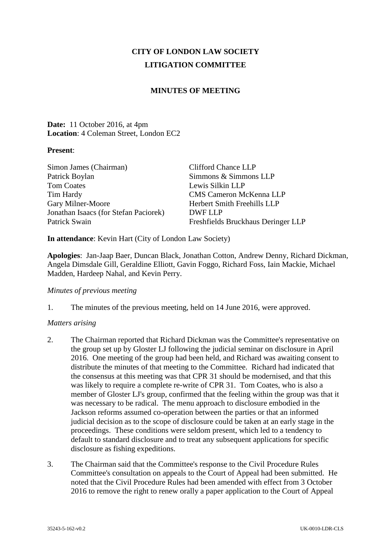# **CITY OF LONDON LAW SOCIETY LITIGATION COMMITTEE**

# **MINUTES OF MEETING**

## **Date:** 11 October 2016, at 4pm **Location**: 4 Coleman Street, London EC2

## **Present**:

| Simon James (Chairman)                | <b>Clifford Chance LLP</b>         |
|---------------------------------------|------------------------------------|
| Patrick Boylan                        | Simmons & Simmons LLP              |
| <b>Tom Coates</b>                     | Lewis Silkin LLP                   |
| Tim Hardy                             | <b>CMS Cameron McKenna LLP</b>     |
| Gary Milner-Moore                     | Herbert Smith Freehills LLP        |
| Jonathan Isaacs (for Stefan Paciorek) | DWF LLP                            |
| Patrick Swain                         | Freshfields Bruckhaus Deringer LLP |
|                                       |                                    |

**In attendance**: Kevin Hart (City of London Law Society)

**Apologies**: Jan-Jaap Baer, Duncan Black, Jonathan Cotton, Andrew Denny, Richard Dickman, Angela Dimsdale Gill, Geraldine Elliott, Gavin Foggo, Richard Foss, Iain Mackie, Michael Madden, Hardeep Nahal, and Kevin Perry.

## *Minutes of previous meeting*

1. The minutes of the previous meeting, held on 14 June 2016, were approved.

# *Matters arising*

- 2. The Chairman reported that Richard Dickman was the Committee's representative on the group set up by Gloster LJ following the judicial seminar on disclosure in April 2016. One meeting of the group had been held, and Richard was awaiting consent to distribute the minutes of that meeting to the Committee. Richard had indicated that the consensus at this meeting was that CPR 31 should be modernised, and that this was likely to require a complete re-write of CPR 31. Tom Coates, who is also a member of Gloster LJ's group, confirmed that the feeling within the group was that it was necessary to be radical. The menu approach to disclosure embodied in the Jackson reforms assumed co-operation between the parties or that an informed judicial decision as to the scope of disclosure could be taken at an early stage in the proceedings. These conditions were seldom present, which led to a tendency to default to standard disclosure and to treat any subsequent applications for specific disclosure as fishing expeditions.
- 3. The Chairman said that the Committee's response to the Civil Procedure Rules Committee's consultation on appeals to the Court of Appeal had been submitted. He noted that the Civil Procedure Rules had been amended with effect from 3 October 2016 to remove the right to renew orally a paper application to the Court of Appeal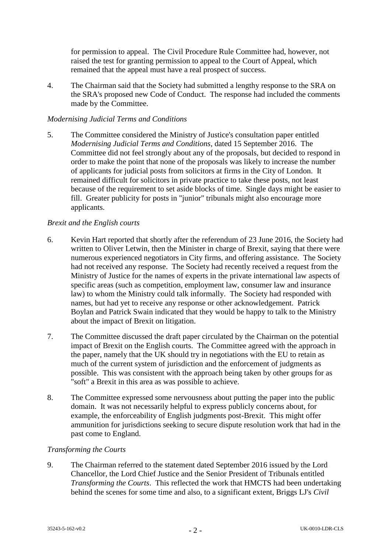for permission to appeal. The Civil Procedure Rule Committee had, however, not raised the test for granting permission to appeal to the Court of Appeal, which remained that the appeal must have a real prospect of success.

4. The Chairman said that the Society had submitted a lengthy response to the SRA on the SRA's proposed new Code of Conduct. The response had included the comments made by the Committee.

## *Modernising Judicial Terms and Conditions*

5. The Committee considered the Ministry of Justice's consultation paper entitled *Modernising Judicial Terms and Conditions*, dated 15 September 2016. The Committee did not feel strongly about any of the proposals, but decided to respond in order to make the point that none of the proposals was likely to increase the number of applicants for judicial posts from solicitors at firms in the City of London. It remained difficult for solicitors in private practice to take these posts, not least because of the requirement to set aside blocks of time. Single days might be easier to fill. Greater publicity for posts in "junior" tribunals might also encourage more applicants.

## *Brexit and the English courts*

- 6. Kevin Hart reported that shortly after the referendum of 23 June 2016, the Society had written to Oliver Letwin, then the Minister in charge of Brexit, saying that there were numerous experienced negotiators in City firms, and offering assistance. The Society had not received any response. The Society had recently received a request from the Ministry of Justice for the names of experts in the private international law aspects of specific areas (such as competition, employment law, consumer law and insurance law) to whom the Ministry could talk informally. The Society had responded with names, but had yet to receive any response or other acknowledgement. Patrick Boylan and Patrick Swain indicated that they would be happy to talk to the Ministry about the impact of Brexit on litigation.
- 7. The Committee discussed the draft paper circulated by the Chairman on the potential impact of Brexit on the English courts. The Committee agreed with the approach in the paper, namely that the UK should try in negotiations with the EU to retain as much of the current system of jurisdiction and the enforcement of judgments as possible. This was consistent with the approach being taken by other groups for as "soft" a Brexit in this area as was possible to achieve.
- 8. The Committee expressed some nervousness about putting the paper into the public domain. It was not necessarily helpful to express publicly concerns about, for example, the enforceability of English judgments post-Brexit. This might offer ammunition for jurisdictions seeking to secure dispute resolution work that had in the past come to England.

## *Transforming the Courts*

9. The Chairman referred to the statement dated September 2016 issued by the Lord Chancellor, the Lord Chief Justice and the Senior President of Tribunals entitled *Transforming the Courts*. This reflected the work that HMCTS had been undertaking behind the scenes for some time and also, to a significant extent, Briggs LJ's *Civil*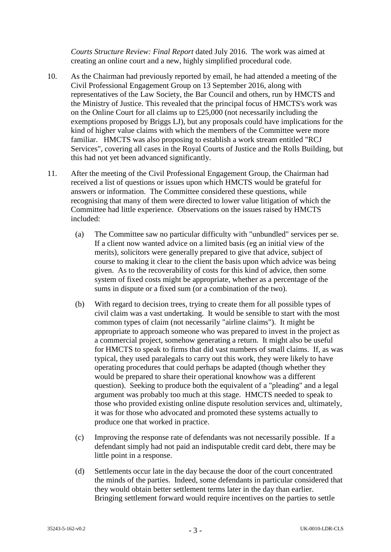*Courts Structure Review: Final Report* dated July 2016. The work was aimed at creating an online court and a new, highly simplified procedural code.

- 10. As the Chairman had previously reported by email, he had attended a meeting of the Civil Professional Engagement Group on 13 September 2016, along with representatives of the Law Society, the Bar Council and others, run by HMCTS and the Ministry of Justice. This revealed that the principal focus of HMCTS's work was on the Online Court for all claims up to £25,000 (not necessarily including the exemptions proposed by Briggs LJ), but any proposals could have implications for the kind of higher value claims with which the members of the Committee were more familiar. HMCTS was also proposing to establish a work stream entitled "RCJ Services", covering all cases in the Royal Courts of Justice and the Rolls Building, but this had not yet been advanced significantly.
- 11. After the meeting of the Civil Professional Engagement Group, the Chairman had received a list of questions or issues upon which HMCTS would be grateful for answers or information. The Committee considered these questions, while recognising that many of them were directed to lower value litigation of which the Committee had little experience. Observations on the issues raised by HMCTS included:
	- (a) The Committee saw no particular difficulty with "unbundled" services per se. If a client now wanted advice on a limited basis (eg an initial view of the merits), solicitors were generally prepared to give that advice, subject of course to making it clear to the client the basis upon which advice was being given. As to the recoverability of costs for this kind of advice, then some system of fixed costs might be appropriate, whether as a percentage of the sums in dispute or a fixed sum (or a combination of the two).
	- (b) With regard to decision trees, trying to create them for all possible types of civil claim was a vast undertaking. It would be sensible to start with the most common types of claim (not necessarily "airline claims"). It might be appropriate to approach someone who was prepared to invest in the project as a commercial project, somehow generating a return. It might also be useful for HMCTS to speak to firms that did vast numbers of small claims. If, as was typical, they used paralegals to carry out this work, they were likely to have operating procedures that could perhaps be adapted (though whether they would be prepared to share their operational knowhow was a different question). Seeking to produce both the equivalent of a "pleading" and a legal argument was probably too much at this stage. HMCTS needed to speak to those who provided existing online dispute resolution services and, ultimately, it was for those who advocated and promoted these systems actually to produce one that worked in practice.
	- (c) Improving the response rate of defendants was not necessarily possible. If a defendant simply had not paid an indisputable credit card debt, there may be little point in a response.
	- (d) Settlements occur late in the day because the door of the court concentrated the minds of the parties. Indeed, some defendants in particular considered that they would obtain better settlement terms later in the day than earlier. Bringing settlement forward would require incentives on the parties to settle